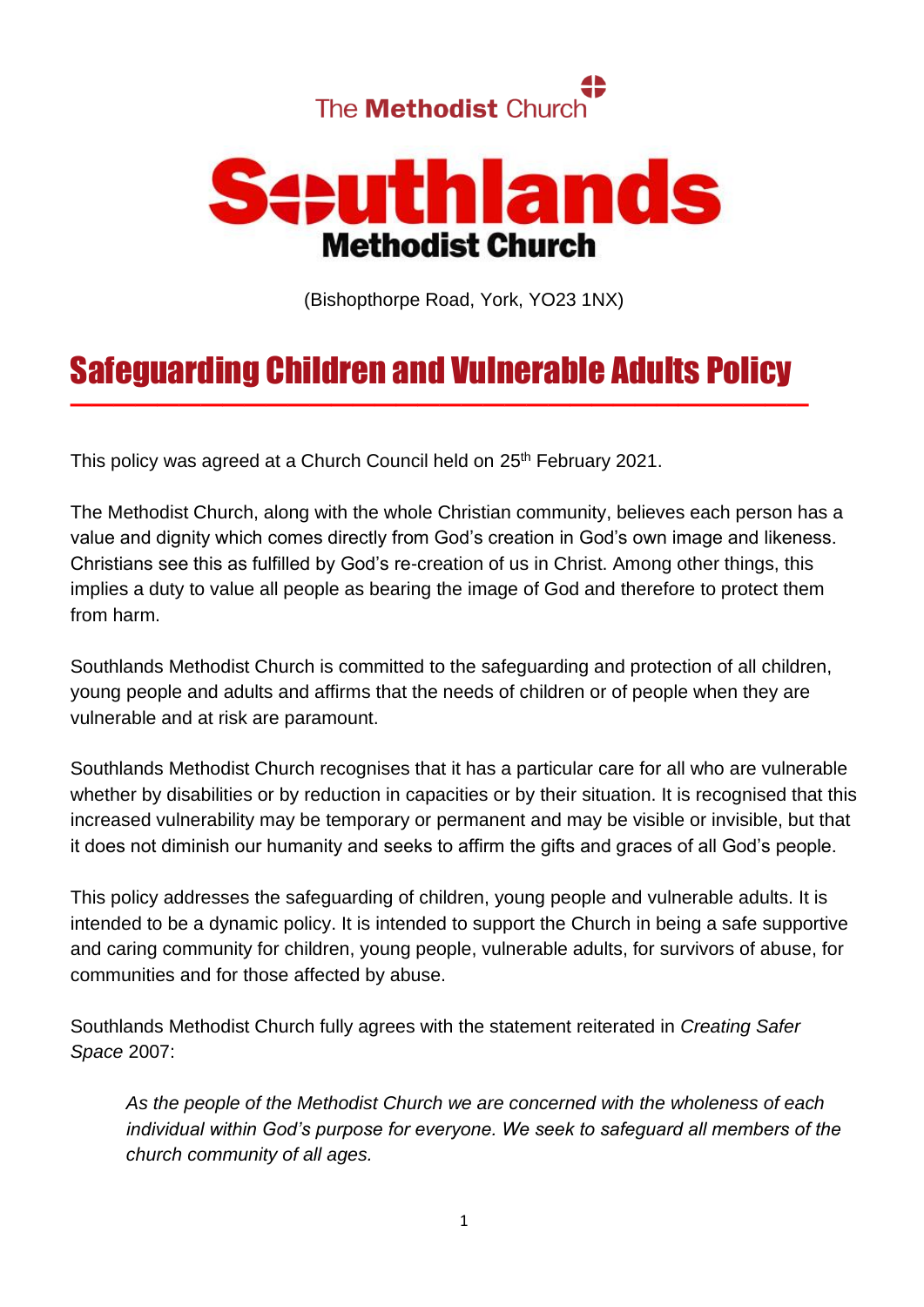



(Bishopthorpe Road, York, YO23 1NX)

# Safeguarding Children and Vulnerable Adults Policy

——————————————————————————————————

This policy was agreed at a Church Council held on 25<sup>th</sup> February 2021.

The Methodist Church, along with the whole Christian community, believes each person has a value and dignity which comes directly from God's creation in God's own image and likeness. Christians see this as fulfilled by God's re-creation of us in Christ. Among other things, this implies a duty to value all people as bearing the image of God and therefore to protect them from harm.

Southlands Methodist Church is committed to the safeguarding and protection of all children, young people and adults and affirms that the needs of children or of people when they are vulnerable and at risk are paramount.

Southlands Methodist Church recognises that it has a particular care for all who are vulnerable whether by disabilities or by reduction in capacities or by their situation. It is recognised that this increased vulnerability may be temporary or permanent and may be visible or invisible, but that it does not diminish our humanity and seeks to affirm the gifts and graces of all God's people.

This policy addresses the safeguarding of children, young people and vulnerable adults. It is intended to be a dynamic policy. It is intended to support the Church in being a safe supportive and caring community for children, young people, vulnerable adults, for survivors of abuse, for communities and for those affected by abuse.

Southlands Methodist Church fully agrees with the statement reiterated in *Creating Safer Space* 2007:

*As the people of the Methodist Church we are concerned with the wholeness of each individual within God's purpose for everyone. We seek to safeguard all members of the church community of all ages.*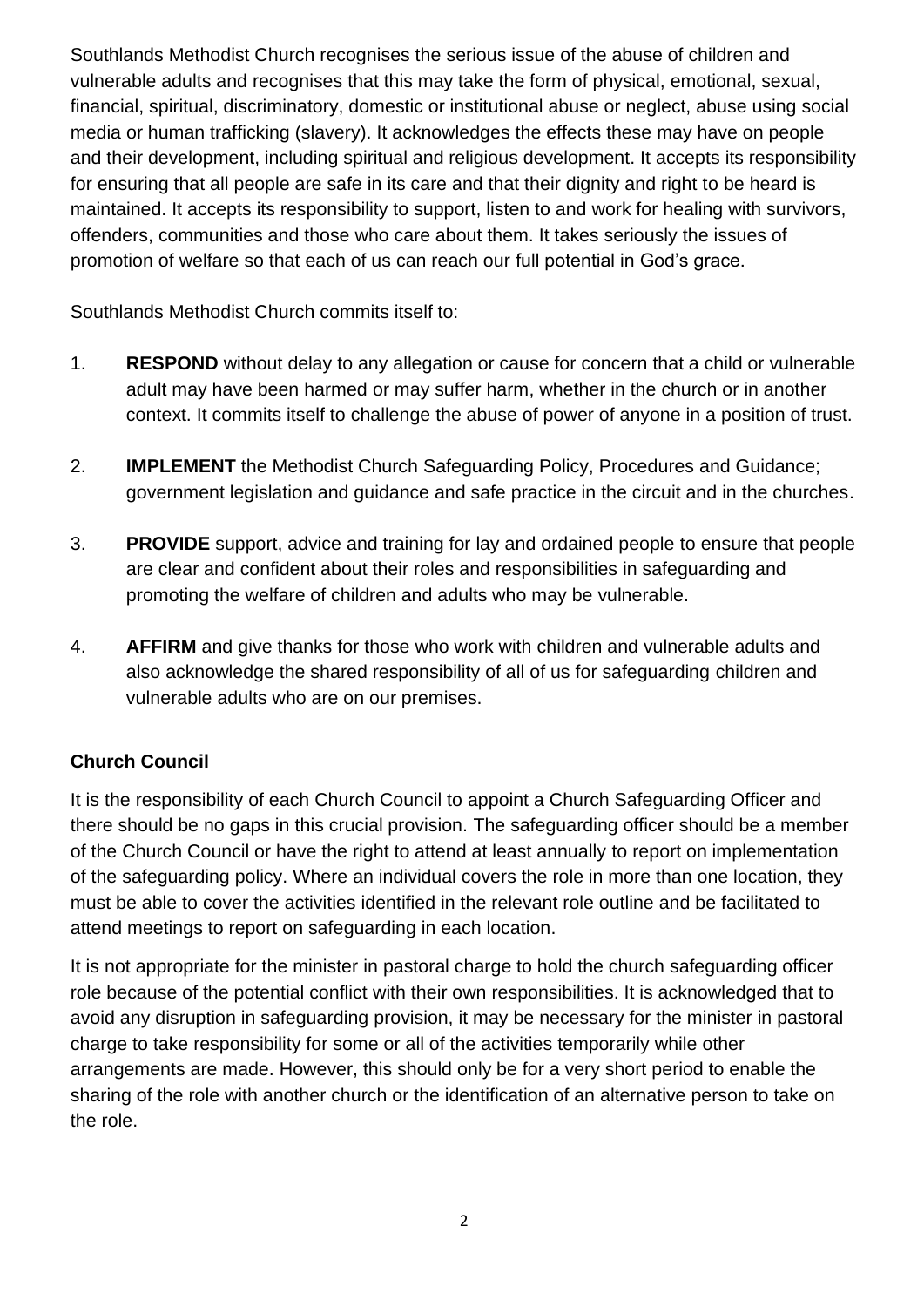Southlands Methodist Church recognises the serious issue of the abuse of children and vulnerable adults and recognises that this may take the form of physical, emotional, sexual, financial, spiritual, discriminatory, domestic or institutional abuse or neglect, abuse using social media or human trafficking (slavery). It acknowledges the effects these may have on people and their development, including spiritual and religious development. It accepts its responsibility for ensuring that all people are safe in its care and that their dignity and right to be heard is maintained. It accepts its responsibility to support, listen to and work for healing with survivors, offenders, communities and those who care about them. It takes seriously the issues of promotion of welfare so that each of us can reach our full potential in God's grace.

Southlands Methodist Church commits itself to:

- 1. **RESPOND** without delay to any allegation or cause for concern that a child or vulnerable adult may have been harmed or may suffer harm, whether in the church or in another context. It commits itself to challenge the abuse of power of anyone in a position of trust.
- 2. **IMPLEMENT** the Methodist Church Safeguarding Policy, Procedures and Guidance; government legislation and guidance and safe practice in the circuit and in the churches.
- 3. **PROVIDE** support, advice and training for lay and ordained people to ensure that people are clear and confident about their roles and responsibilities in safeguarding and promoting the welfare of children and adults who may be vulnerable.
- 4. **AFFIRM** and give thanks for those who work with children and vulnerable adults and also acknowledge the shared responsibility of all of us for safeguarding children and vulnerable adults who are on our premises.

## **Church Council**

It is the responsibility of each Church Council to appoint a Church Safeguarding Officer and there should be no gaps in this crucial provision. The safeguarding officer should be a member of the Church Council or have the right to attend at least annually to report on implementation of the safeguarding policy. Where an individual covers the role in more than one location, they must be able to cover the activities identified in the relevant role outline and be facilitated to attend meetings to report on safeguarding in each location.

It is not appropriate for the minister in pastoral charge to hold the church safeguarding officer role because of the potential conflict with their own responsibilities. It is acknowledged that to avoid any disruption in safeguarding provision, it may be necessary for the minister in pastoral charge to take responsibility for some or all of the activities temporarily while other arrangements are made. However, this should only be for a very short period to enable the sharing of the role with another church or the identification of an alternative person to take on the role.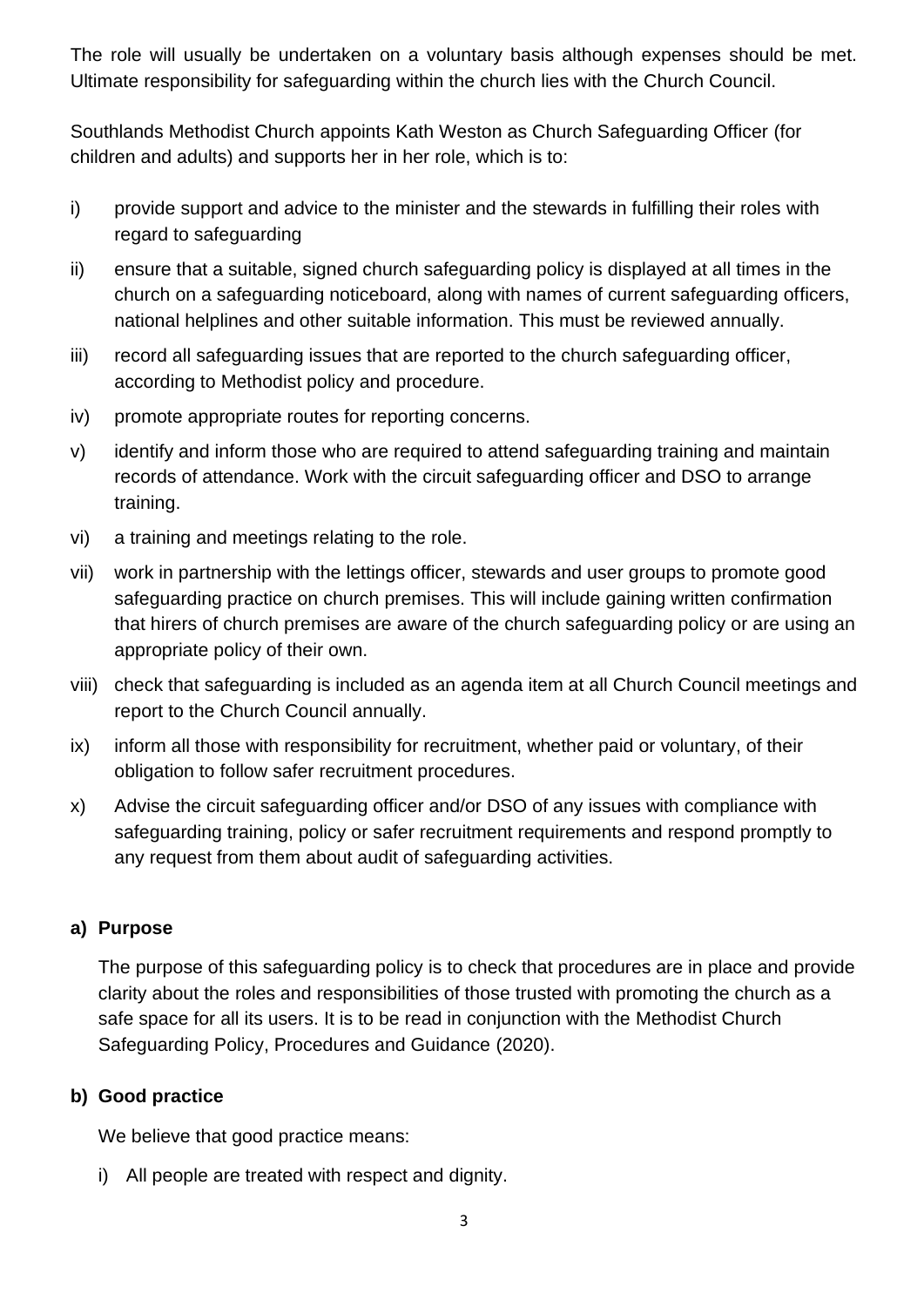The role will usually be undertaken on a voluntary basis although expenses should be met. Ultimate responsibility for safeguarding within the church lies with the Church Council.

Southlands Methodist Church appoints Kath Weston as Church Safeguarding Officer (for children and adults) and supports her in her role, which is to:

- i) provide support and advice to the minister and the stewards in fulfilling their roles with regard to safeguarding
- ii) ensure that a suitable, signed church safeguarding policy is displayed at all times in the church on a safeguarding noticeboard, along with names of current safeguarding officers, national helplines and other suitable information. This must be reviewed annually.
- iii) record all safeguarding issues that are reported to the church safeguarding officer, according to Methodist policy and procedure.
- iv) promote appropriate routes for reporting concerns.
- v) identify and inform those who are required to attend safeguarding training and maintain records of attendance. Work with the circuit safeguarding officer and DSO to arrange training.
- vi) a training and meetings relating to the role.
- vii) work in partnership with the lettings officer, stewards and user groups to promote good safeguarding practice on church premises. This will include gaining written confirmation that hirers of church premises are aware of the church safeguarding policy or are using an appropriate policy of their own.
- viii) check that safeguarding is included as an agenda item at all Church Council meetings and report to the Church Council annually.
- ix) inform all those with responsibility for recruitment, whether paid or voluntary, of their obligation to follow safer recruitment procedures.
- x) Advise the circuit safeguarding officer and/or DSO of any issues with compliance with safeguarding training, policy or safer recruitment requirements and respond promptly to any request from them about audit of safeguarding activities.

## **a) Purpose**

The purpose of this safeguarding policy is to check that procedures are in place and provide clarity about the roles and responsibilities of those trusted with promoting the church as a safe space for all its users. It is to be read in conjunction with the Methodist Church Safeguarding Policy, Procedures and Guidance (2020).

## **b) Good practice**

We believe that good practice means:

i) All people are treated with respect and dignity.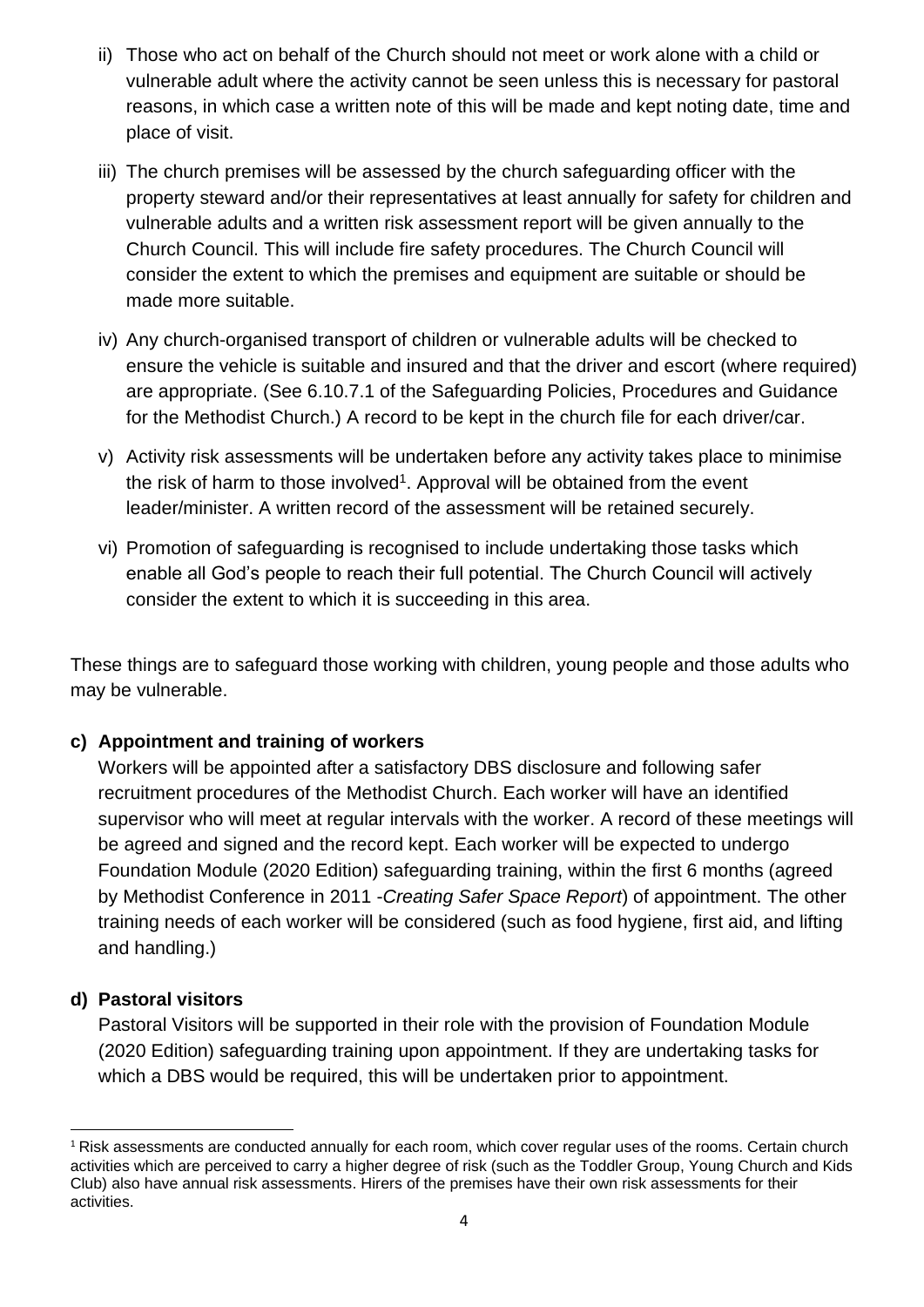- ii) Those who act on behalf of the Church should not meet or work alone with a child or vulnerable adult where the activity cannot be seen unless this is necessary for pastoral reasons, in which case a written note of this will be made and kept noting date, time and place of visit.
- iii) The church premises will be assessed by the church safeguarding officer with the property steward and/or their representatives at least annually for safety for children and vulnerable adults and a written risk assessment report will be given annually to the Church Council. This will include fire safety procedures. The Church Council will consider the extent to which the premises and equipment are suitable or should be made more suitable.
- iv) Any church-organised transport of children or vulnerable adults will be checked to ensure the vehicle is suitable and insured and that the driver and escort (where required) are appropriate. (See 6.10.7.1 of the Safeguarding Policies, Procedures and Guidance for the Methodist Church.) A record to be kept in the church file for each driver/car.
- v) Activity risk assessments will be undertaken before any activity takes place to minimise the risk of harm to those involved<sup>1</sup>. Approval will be obtained from the event leader/minister. A written record of the assessment will be retained securely.
- vi) Promotion of safeguarding is recognised to include undertaking those tasks which enable all God's people to reach their full potential. The Church Council will actively consider the extent to which it is succeeding in this area.

These things are to safeguard those working with children, young people and those adults who may be vulnerable.

## **c) Appointment and training of workers**

Workers will be appointed after a satisfactory DBS disclosure and following safer recruitment procedures of the Methodist Church. Each worker will have an identified supervisor who will meet at regular intervals with the worker. A record of these meetings will be agreed and signed and the record kept. Each worker will be expected to undergo Foundation Module (2020 Edition) safeguarding training, within the first 6 months (agreed by Methodist Conference in 2011 -*Creating Safer Space Report*) of appointment. The other training needs of each worker will be considered (such as food hygiene, first aid, and lifting and handling.)

## **d) Pastoral visitors**

Pastoral Visitors will be supported in their role with the provision of Foundation Module (2020 Edition) safeguarding training upon appointment. If they are undertaking tasks for which a DBS would be required, this will be undertaken prior to appointment.

<sup>1</sup> Risk assessments are conducted annually for each room, which cover regular uses of the rooms. Certain church activities which are perceived to carry a higher degree of risk (such as the Toddler Group, Young Church and Kids Club) also have annual risk assessments. Hirers of the premises have their own risk assessments for their activities.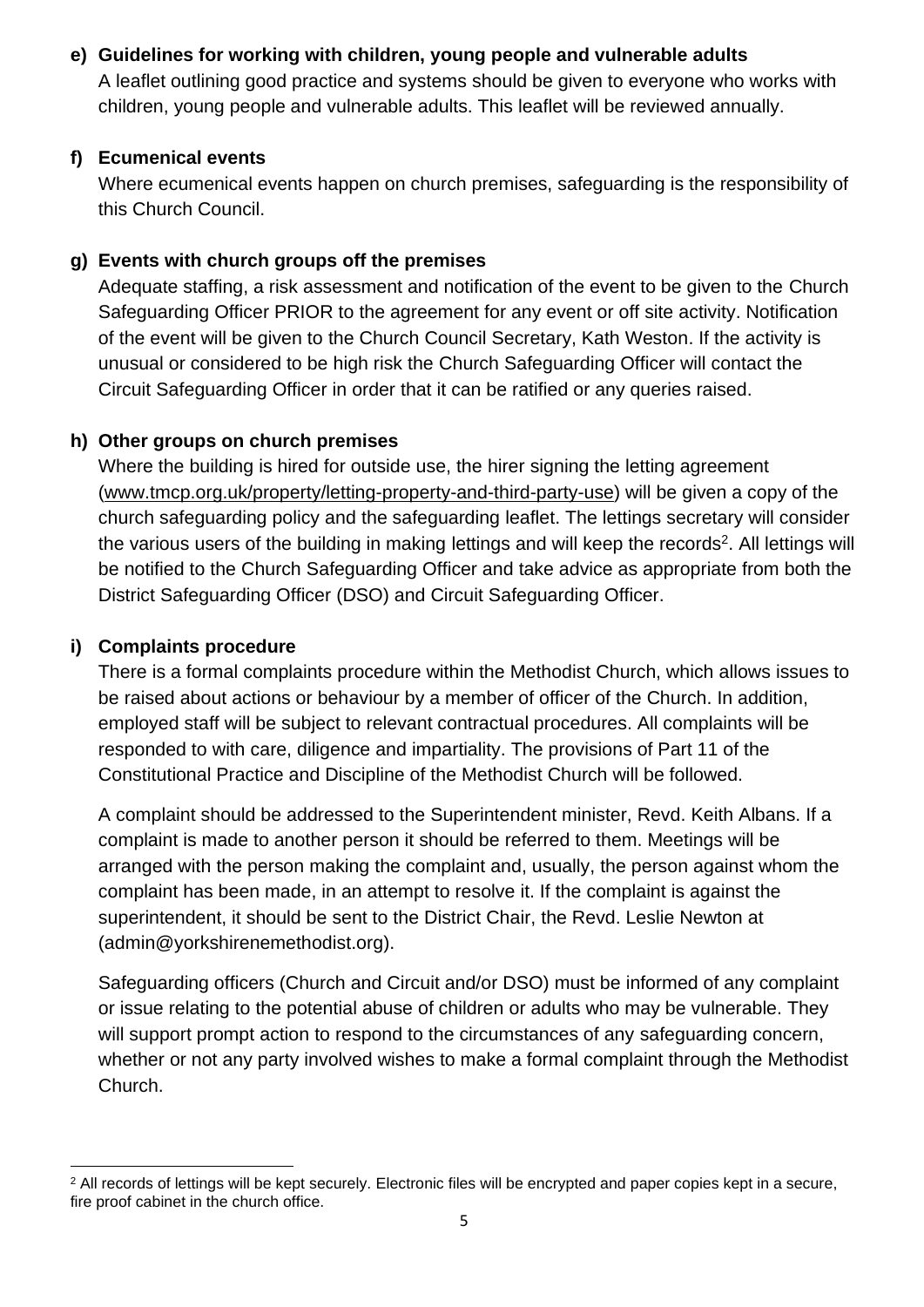### **e) Guidelines for working with children, young people and vulnerable adults**

A leaflet outlining good practice and systems should be given to everyone who works with children, young people and vulnerable adults. This leaflet will be reviewed annually.

#### **f) Ecumenical events**

Where ecumenical events happen on church premises, safeguarding is the responsibility of this Church Council.

## **g) Events with church groups off the premises**

Adequate staffing, a risk assessment and notification of the event to be given to the Church Safeguarding Officer PRIOR to the agreement for any event or off site activity. Notification of the event will be given to the Church Council Secretary, Kath Weston. If the activity is unusual or considered to be high risk the Church Safeguarding Officer will contact the Circuit Safeguarding Officer in order that it can be ratified or any queries raised.

## **h) Other groups on church premises**

Where the building is hired for outside use, the hirer signing the letting agreement [\(www.tmcp.org.uk/property/letting-property-and-third-party-use\)](http://www.tmcp.org.uk/property/letting-property-and-third-party-use) will be given a copy of the church safeguarding policy and the safeguarding leaflet. The lettings secretary will consider the various users of the building in making lettings and will keep the records<sup>2</sup>. All lettings will be notified to the Church Safeguarding Officer and take advice as appropriate from both the District Safeguarding Officer (DSO) and Circuit Safeguarding Officer.

# **i) Complaints procedure**

There is a formal complaints procedure within the Methodist Church, which allows issues to be raised about actions or behaviour by a member of officer of the Church. In addition, employed staff will be subject to relevant contractual procedures. All complaints will be responded to with care, diligence and impartiality. The provisions of Part 11 of the Constitutional Practice and Discipline of the Methodist Church will be followed.

A complaint should be addressed to the Superintendent minister, Revd. Keith Albans. If a complaint is made to another person it should be referred to them. Meetings will be arranged with the person making the complaint and, usually, the person against whom the complaint has been made, in an attempt to resolve it. If the complaint is against the superintendent, it should be sent to the District Chair, the Revd. Leslie Newton at (admin@yorkshirenemethodist.org).

Safeguarding officers (Church and Circuit and/or DSO) must be informed of any complaint or issue relating to the potential abuse of children or adults who may be vulnerable. They will support prompt action to respond to the circumstances of any safeguarding concern, whether or not any party involved wishes to make a formal complaint through the Methodist Church.

 $2$  All records of lettings will be kept securely. Electronic files will be encrypted and paper copies kept in a secure, fire proof cabinet in the church office.